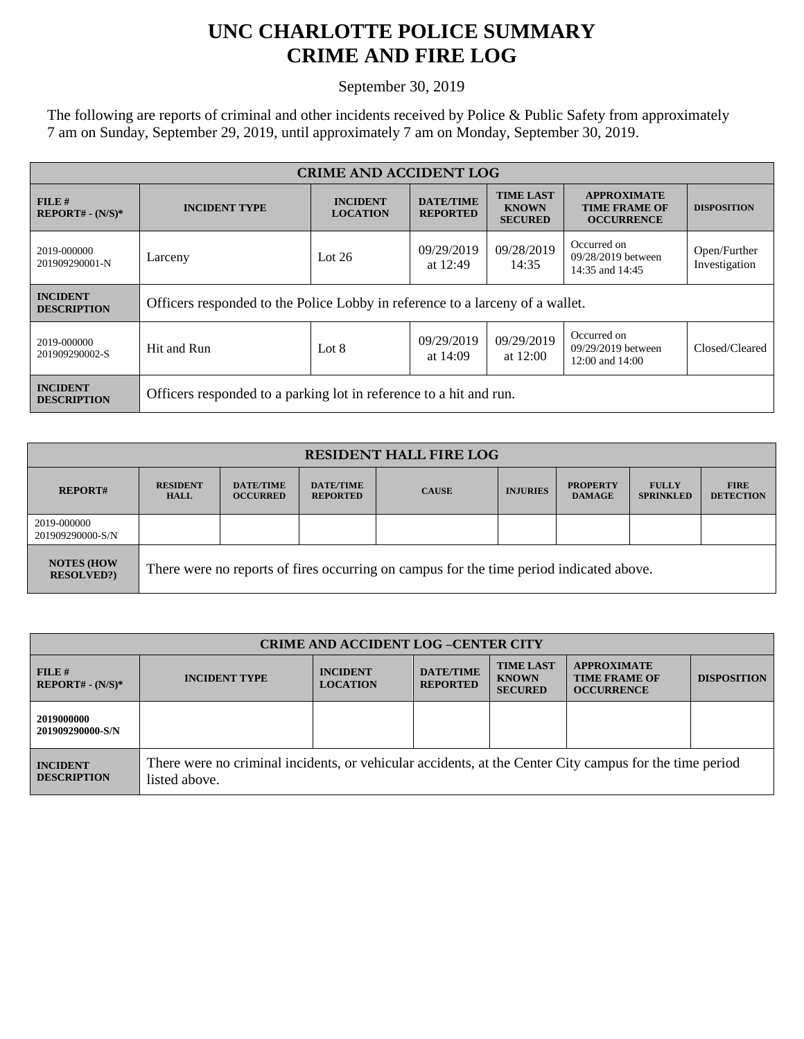## **UNC CHARLOTTE POLICE SUMMARY CRIME AND FIRE LOG**

September 30, 2019

The following are reports of criminal and other incidents received by Police & Public Safety from approximately 7 am on Sunday, September 29, 2019, until approximately 7 am on Monday, September 30, 2019.

| <b>CRIME AND ACCIDENT LOG</b>         |                                                                               |                                    |                                     |                                                    |                                                                 |                               |
|---------------------------------------|-------------------------------------------------------------------------------|------------------------------------|-------------------------------------|----------------------------------------------------|-----------------------------------------------------------------|-------------------------------|
| $FILE$ #<br>$REPORT# - (N/S)*$        | <b>INCIDENT TYPE</b>                                                          | <b>INCIDENT</b><br><b>LOCATION</b> | <b>DATE/TIME</b><br><b>REPORTED</b> | <b>TIME LAST</b><br><b>KNOWN</b><br><b>SECURED</b> | <b>APPROXIMATE</b><br><b>TIME FRAME OF</b><br><b>OCCURRENCE</b> | <b>DISPOSITION</b>            |
| 2019-000000<br>201909290001-N         | Larceny                                                                       | Lot $26$                           | 09/29/2019<br>at 12:49              | 09/28/2019<br>14:35                                | Occurred on<br>09/28/2019 between<br>14:35 and 14:45            | Open/Further<br>Investigation |
| <b>INCIDENT</b><br><b>DESCRIPTION</b> | Officers responded to the Police Lobby in reference to a larceny of a wallet. |                                    |                                     |                                                    |                                                                 |                               |
| 2019-000000<br>201909290002-S         | Hit and Run                                                                   | Lot $8$                            | 09/29/2019<br>at $14:09$            | 09/29/2019<br>at $12:00$                           | Occurred on<br>09/29/2019 between<br>12:00 and 14:00            | Closed/Cleared                |
| <b>INCIDENT</b><br><b>DESCRIPTION</b> | Officers responded to a parking lot in reference to a hit and run.            |                                    |                                     |                                                    |                                                                 |                               |

| <b>RESIDENT HALL FIRE LOG</b>         |                                                                                         |                                     |                                     |              |                 |                                  |                                  |                                 |
|---------------------------------------|-----------------------------------------------------------------------------------------|-------------------------------------|-------------------------------------|--------------|-----------------|----------------------------------|----------------------------------|---------------------------------|
| <b>REPORT#</b>                        | <b>RESIDENT</b><br><b>HALL</b>                                                          | <b>DATE/TIME</b><br><b>OCCURRED</b> | <b>DATE/TIME</b><br><b>REPORTED</b> | <b>CAUSE</b> | <b>INJURIES</b> | <b>PROPERTY</b><br><b>DAMAGE</b> | <b>FULLY</b><br><b>SPRINKLED</b> | <b>FIRE</b><br><b>DETECTION</b> |
| 2019-000000<br>201909290000-S/N       |                                                                                         |                                     |                                     |              |                 |                                  |                                  |                                 |
| <b>NOTES (HOW</b><br><b>RESOLVED?</b> | There were no reports of fires occurring on campus for the time period indicated above. |                                     |                                     |              |                 |                                  |                                  |                                 |

| <b>CRIME AND ACCIDENT LOG -CENTER CITY</b> |                                                                                                                          |                                    |                                     |                                                    |                                                                 |                    |
|--------------------------------------------|--------------------------------------------------------------------------------------------------------------------------|------------------------------------|-------------------------------------|----------------------------------------------------|-----------------------------------------------------------------|--------------------|
| FILE H<br>$REPORT# - (N/S)*$               | <b>INCIDENT TYPE</b>                                                                                                     | <b>INCIDENT</b><br><b>LOCATION</b> | <b>DATE/TIME</b><br><b>REPORTED</b> | <b>TIME LAST</b><br><b>KNOWN</b><br><b>SECURED</b> | <b>APPROXIMATE</b><br><b>TIME FRAME OF</b><br><b>OCCURRENCE</b> | <b>DISPOSITION</b> |
| 2019000000<br>201909290000-S/N             |                                                                                                                          |                                    |                                     |                                                    |                                                                 |                    |
| <b>INCIDENT</b><br><b>DESCRIPTION</b>      | There were no criminal incidents, or vehicular accidents, at the Center City campus for the time period<br>listed above. |                                    |                                     |                                                    |                                                                 |                    |